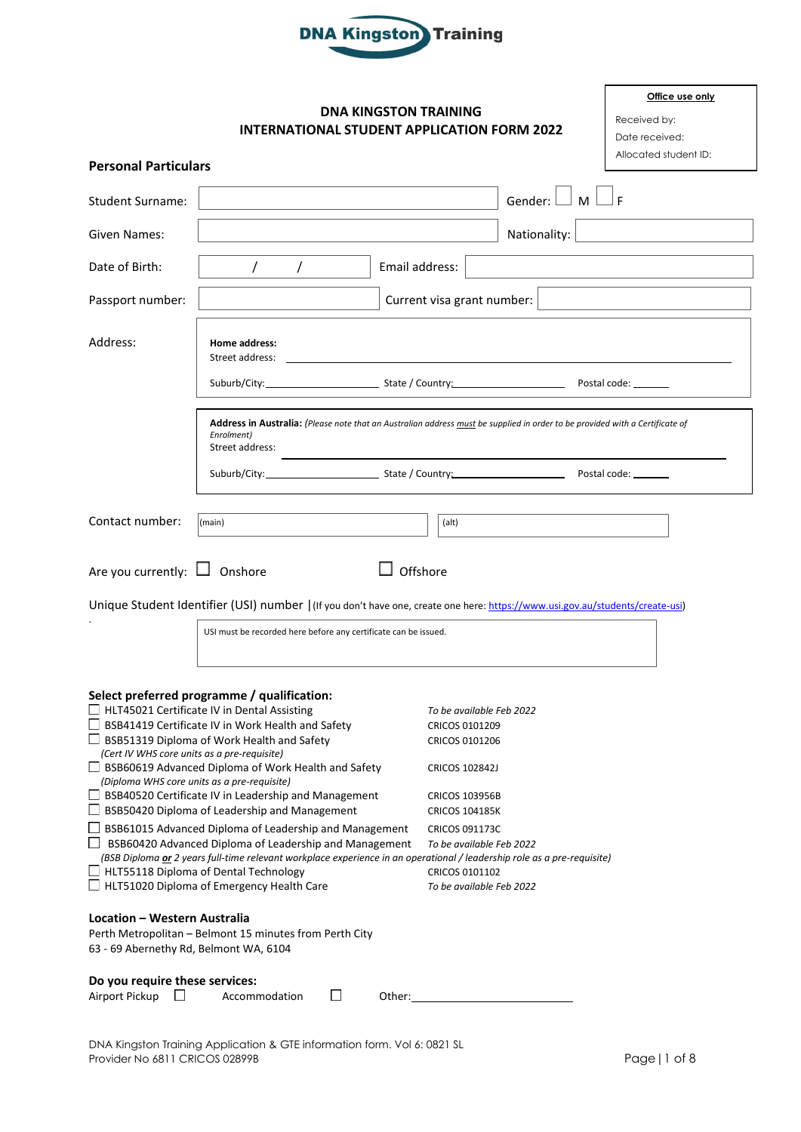

## **DNA KINGSTON TRAINING INTERNATIONAL STUDENT APPLICATION FORM 2022**

| Office use only       |
|-----------------------|
| Received by:          |
| Date received:        |
| Allocated student ID: |
|                       |

| <b>Personal Particulars</b>                                                                                                                                                                                                                                               |                                                                                                                                                                                                                                                                                                                                                                                                                                                                                                                                                                              |                            |                                                                                                                                                                                                     |                           |  | Allocated stude |  |
|---------------------------------------------------------------------------------------------------------------------------------------------------------------------------------------------------------------------------------------------------------------------------|------------------------------------------------------------------------------------------------------------------------------------------------------------------------------------------------------------------------------------------------------------------------------------------------------------------------------------------------------------------------------------------------------------------------------------------------------------------------------------------------------------------------------------------------------------------------------|----------------------------|-----------------------------------------------------------------------------------------------------------------------------------------------------------------------------------------------------|---------------------------|--|-----------------|--|
| Student Surname:                                                                                                                                                                                                                                                          |                                                                                                                                                                                                                                                                                                                                                                                                                                                                                                                                                                              |                            |                                                                                                                                                                                                     | Gender: $\Box$ M $\Box$ F |  |                 |  |
| Given Names:                                                                                                                                                                                                                                                              |                                                                                                                                                                                                                                                                                                                                                                                                                                                                                                                                                                              |                            |                                                                                                                                                                                                     | Nationality:              |  |                 |  |
| Date of Birth:                                                                                                                                                                                                                                                            | $\prime$<br>$\prime$                                                                                                                                                                                                                                                                                                                                                                                                                                                                                                                                                         | Email address:             |                                                                                                                                                                                                     |                           |  |                 |  |
| Passport number:                                                                                                                                                                                                                                                          |                                                                                                                                                                                                                                                                                                                                                                                                                                                                                                                                                                              | Current visa grant number: |                                                                                                                                                                                                     |                           |  |                 |  |
| Address:                                                                                                                                                                                                                                                                  | Home address:<br>Street address:                                                                                                                                                                                                                                                                                                                                                                                                                                                                                                                                             |                            |                                                                                                                                                                                                     |                           |  |                 |  |
|                                                                                                                                                                                                                                                                           |                                                                                                                                                                                                                                                                                                                                                                                                                                                                                                                                                                              |                            |                                                                                                                                                                                                     |                           |  |                 |  |
| Address in Australia: (Please note that an Australian address must be supplied in order to be provided with a Certificate of<br>Enrolment)<br>Street address:                                                                                                             |                                                                                                                                                                                                                                                                                                                                                                                                                                                                                                                                                                              |                            |                                                                                                                                                                                                     |                           |  |                 |  |
| Contact number:                                                                                                                                                                                                                                                           | (main)                                                                                                                                                                                                                                                                                                                                                                                                                                                                                                                                                                       |                            | (alt)                                                                                                                                                                                               |                           |  |                 |  |
| Are you currently: $\Box$ Onshore                                                                                                                                                                                                                                         | Unique Student Identifier (USI) number   (If you don't have one, create one here: https://www.usi.gov.au/students/create-usi)<br>USI must be recorded here before any certificate can be issued.                                                                                                                                                                                                                                                                                                                                                                             | Offshore                   |                                                                                                                                                                                                     |                           |  |                 |  |
| (Cert IV WHS core units as a pre-requisite)                                                                                                                                                                                                                               | Select preferred programme / qualification:<br>$\Box$ HLT45021 Certificate IV in Dental Assisting<br>□ BSB41419 Certificate IV in Work Health and Safety<br>BSB51319 Diploma of Work Health and Safety<br>$\Box$ BSB60619 Advanced Diploma of Work Health and Safety<br>(Diploma WHS core units as a pre-requisite)<br>$\Box$ BSB40520 Certificate IV in Leadership and Management<br>$\Box$ BSB50420 Diploma of Leadership and Management<br>$\Box$ BSB61015 Advanced Diploma of Leadership and Management<br>$\Box$ BSB60420 Advanced Diploma of Leadership and Management |                            | To be available Feb 2022<br><b>CRICOS 0101209</b><br>CRICOS 0101206<br><b>CRICOS 102842J</b><br><b>CRICOS 103956B</b><br><b>CRICOS 104185K</b><br><b>CRICOS 091173C</b><br>To be available Feb 2022 |                           |  |                 |  |
| (BSB Diploma or 2 years full-time relevant workplace experience in an operational / leadership role as a pre-requisite)<br>$\Box$ HLT55118 Diploma of Dental Technology<br>CRICOS 0101102<br>$\Box$ HLT51020 Diploma of Emergency Health Care<br>To be available Feb 2022 |                                                                                                                                                                                                                                                                                                                                                                                                                                                                                                                                                                              |                            |                                                                                                                                                                                                     |                           |  |                 |  |
| Location - Western Australia<br>63 - 69 Abernethy Rd, Belmont WA, 6104                                                                                                                                                                                                    | Perth Metropolitan - Belmont 15 minutes from Perth City                                                                                                                                                                                                                                                                                                                                                                                                                                                                                                                      |                            |                                                                                                                                                                                                     |                           |  |                 |  |
| Do you require these services:<br>Airport Pickup $\Box$                                                                                                                                                                                                                   | Ш<br>Accommodation                                                                                                                                                                                                                                                                                                                                                                                                                                                                                                                                                           | Other:                     |                                                                                                                                                                                                     |                           |  |                 |  |

 $A$ irport Pickup  $\Box$  Accommodation  $\Box$  Other: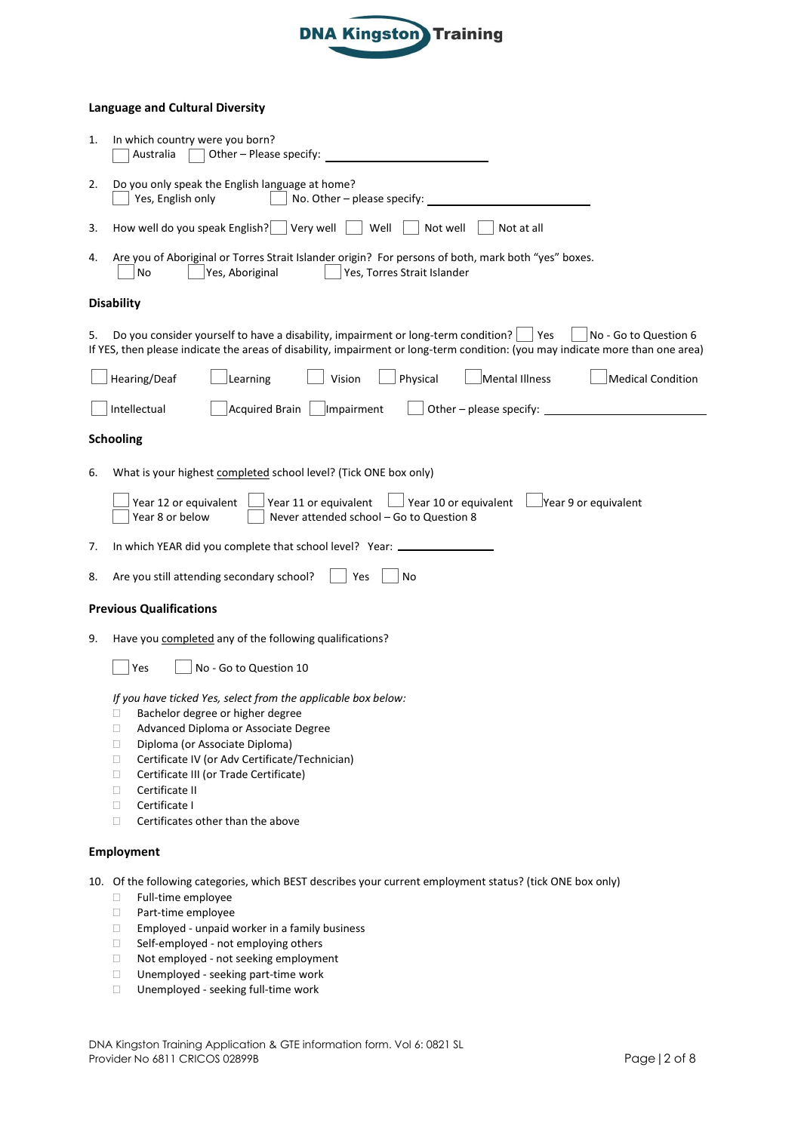

### **Language and Cultural Diversity**

| 1. | In which country were you born?<br>Other - Please specify:<br>Australia                                                                                                                                                                                                                                                                                                                                                                |
|----|----------------------------------------------------------------------------------------------------------------------------------------------------------------------------------------------------------------------------------------------------------------------------------------------------------------------------------------------------------------------------------------------------------------------------------------|
| 2. | Do you only speak the English language at home?<br>Yes, English only<br>No. Other - please specify:                                                                                                                                                                                                                                                                                                                                    |
| 3. | How well do you speak English? $\vert$<br>Very well<br>Well<br>Not well<br>Not at all                                                                                                                                                                                                                                                                                                                                                  |
| 4. | Are you of Aboriginal or Torres Strait Islander origin? For persons of both, mark both "yes" boxes.<br>Yes, Aboriginal<br>Yes, Torres Strait Islander<br>No                                                                                                                                                                                                                                                                            |
|    | <b>Disability</b>                                                                                                                                                                                                                                                                                                                                                                                                                      |
| 5. | Do you consider yourself to have a disability, impairment or long-term condition?<br>Yes<br>No - Go to Question 6<br>If YES, then please indicate the areas of disability, impairment or long-term condition: (you may indicate more than one area)                                                                                                                                                                                    |
|    | Physical<br>Mental Illness<br>Hearing/Deaf<br>Vision<br><b>Medical Condition</b><br>Learning                                                                                                                                                                                                                                                                                                                                           |
|    | Intellectual<br><b>Acquired Brain</b><br>Impairment<br>Other - please specify: $\overline{\phantom{a}}$                                                                                                                                                                                                                                                                                                                                |
|    | <b>Schooling</b>                                                                                                                                                                                                                                                                                                                                                                                                                       |
| 6. | What is your highest completed school level? (Tick ONE box only)                                                                                                                                                                                                                                                                                                                                                                       |
|    | Year 10 or equivalent $\Box$ Year 9 or equivalent<br>Year 12 or equivalent<br>Year 11 or equivalent<br>Year 8 or below<br>Never attended school - Go to Question 8                                                                                                                                                                                                                                                                     |
| 7. | In which YEAR did you complete that school level? Year: _                                                                                                                                                                                                                                                                                                                                                                              |
| 8. | Are you still attending secondary school?<br>No<br>Yes                                                                                                                                                                                                                                                                                                                                                                                 |
|    | <b>Previous Qualifications</b>                                                                                                                                                                                                                                                                                                                                                                                                         |
| 9. | Have you completed any of the following qualifications?                                                                                                                                                                                                                                                                                                                                                                                |
|    | No - Go to Question 10<br>Yes                                                                                                                                                                                                                                                                                                                                                                                                          |
|    | If you have ticked Yes, select from the applicable box below:<br>Bachelor degree or higher degree<br>□<br>Advanced Diploma or Associate Degree<br>□<br>Diploma (or Associate Diploma)<br>□<br>Certificate IV (or Adv Certificate/Technician)<br>O.<br>Certificate III (or Trade Certificate)<br>$\Box$<br>Certificate II<br>$\Box$<br>Certificate I<br>$\Box$<br>Certificates other than the above<br>$\Box$                           |
|    | <b>Employment</b>                                                                                                                                                                                                                                                                                                                                                                                                                      |
|    | 10. Of the following categories, which BEST describes your current employment status? (tick ONE box only)<br>Full-time employee<br>$\Box$<br>Part-time employee<br>$\Box$<br>Employed - unpaid worker in a family business<br>$\Box$<br>Self-employed - not employing others<br>$\Box$<br>Not employed - not seeking employment<br>$\Box$<br>Unemployed - seeking part-time work<br>$\Box$<br>Unemployed - seeking full-time work<br>□ |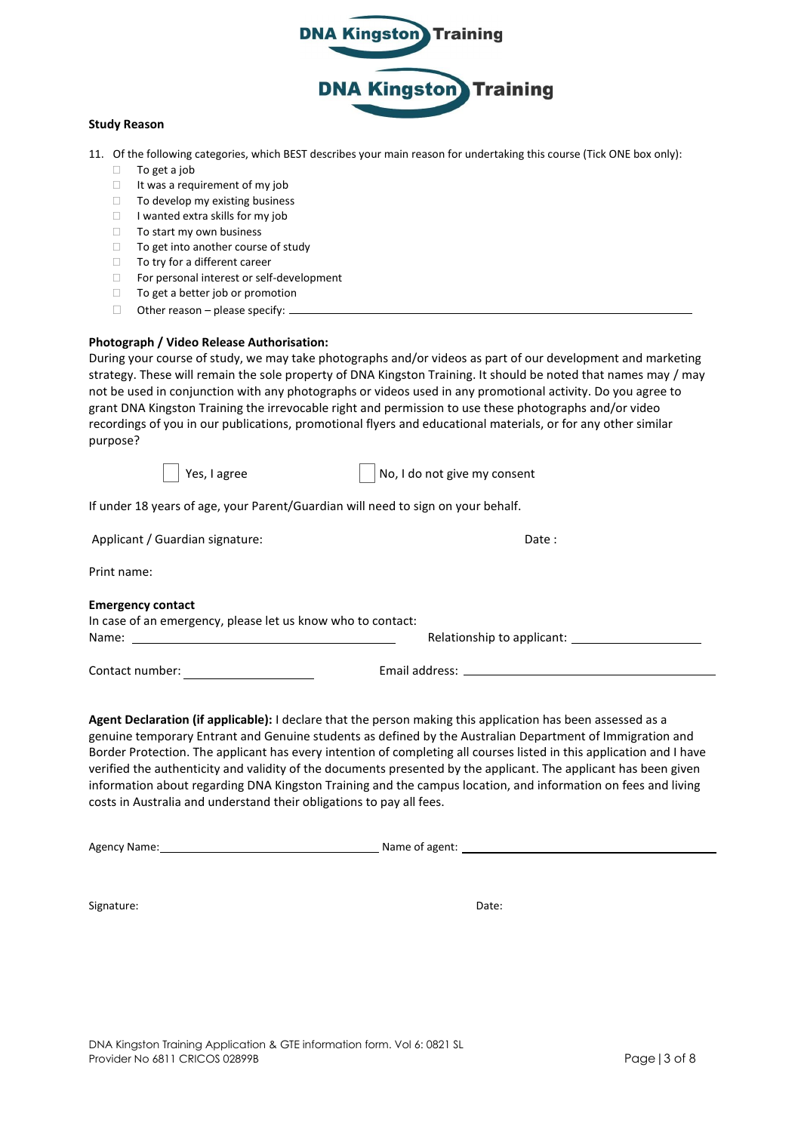

#### **Study Reason**

- 11. Of the following categories, which BEST describes your main reason for undertaking this course (Tick ONE box only):
	- $\Box$  To get a job
	- $\Box$  It was a requirement of my job
	- $\Box$  To develop my existing business
	- $\Box$  I wanted extra skills for my job
	- $\Box$  To start my own business
	- $\Box$  To get into another course of study  $\Box$  To try for a different career
	- To try for a different career
	- □ For personal interest or self-development
	- $\Box$  To get a better job or promotion
	- $\Box$  Other reason please specify:  $\Box$

#### **Photograph / Video Release Authorisation:**

During your course of study, we may take photographs and/or videos as part of our development and marketing strategy. These will remain the sole property of DNA Kingston Training. It should be noted that names may / may not be used in conjunction with any photographs or videos used in any promotional activity. Do you agree to grant DNA Kingston Training the irrevocable right and permission to use these photographs and/or video recordings of you in our publications, promotional flyers and educational materials, or for any other similar purpose?

Yes, I agree  $\vert$  No, I do not give my consent

If under 18 years of age, your Parent/Guardian will need to sign on your behalf.

| Applicant / Guardian signature:                             | Date:                                                                                                                                                                                                                          |
|-------------------------------------------------------------|--------------------------------------------------------------------------------------------------------------------------------------------------------------------------------------------------------------------------------|
| Print name:                                                 |                                                                                                                                                                                                                                |
| <b>Emergency contact</b>                                    |                                                                                                                                                                                                                                |
| In case of an emergency, please let us know who to contact: |                                                                                                                                                                                                                                |
|                                                             |                                                                                                                                                                                                                                |
| Contact number:                                             | Email address: the contract of the contract of the contract of the contract of the contract of the contract of the contract of the contract of the contract of the contract of the contract of the contract of the contract of |

**Agent Declaration (if applicable):** I declare that the person making this application has been assessed as a genuine temporary Entrant and Genuine students as defined by the Australian Department of Immigration and Border Protection. The applicant has every intention of completing all courses listed in this application and I have verified the authenticity and validity of the documents presented by the applicant. The applicant has been given information about regarding DNA Kingston Training and the campus location, and information on fees and living costs in Australia and understand their obligations to pay all fees.

Agency Name: Name of agent:

Signature: Date: Date: Date: Date: Date: Date: Date: Date: Date: Date: Date: Date: Date: Date: Date: Date: Date: Date: Date: Date: Date: Date: Date: Date: Date: Date: Date: Date: Date: Date: Date: Date: Date: Date: Date: D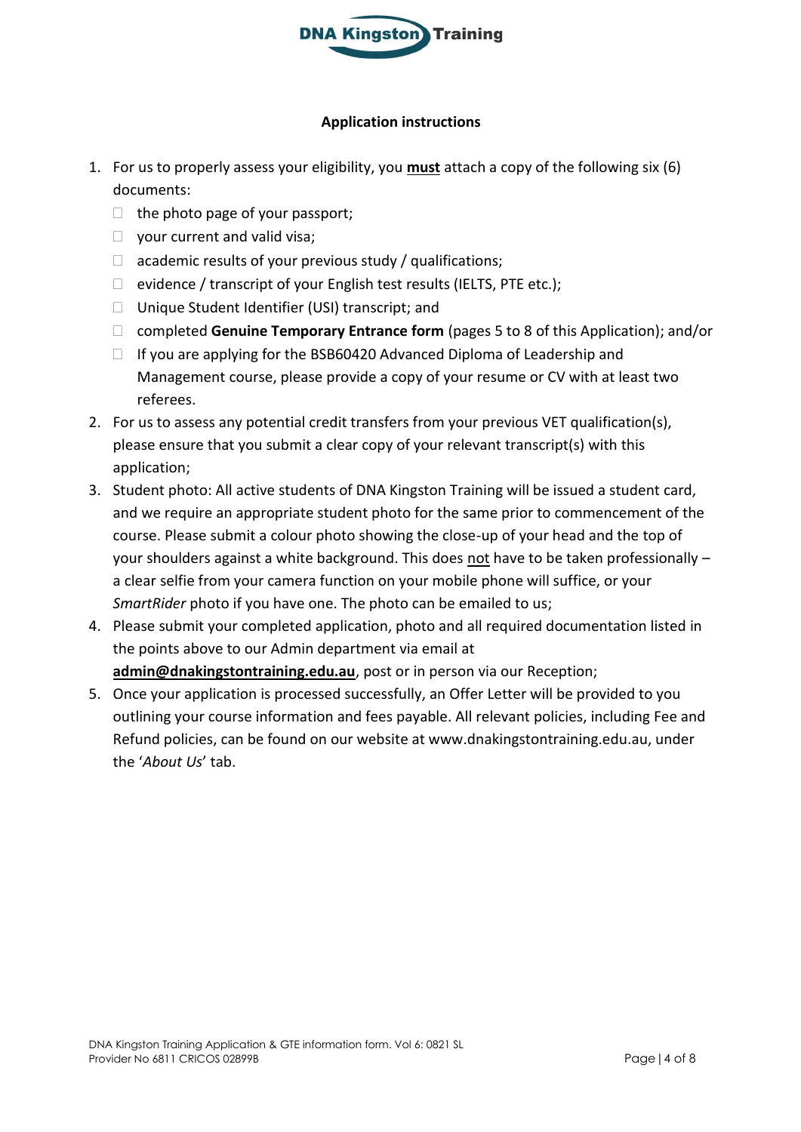

# **Application instructions**

- 1. For us to properly assess your eligibility, you **must** attach a copy of the following six (6) documents:
	- $\Box$  the photo page of your passport;
	- $\Box$  your current and valid visa;
	- $\Box$  academic results of your previous study / qualifications;
	- $\Box$  evidence / transcript of your English test results (IELTS, PTE etc.);
	- □ Unique Student Identifier (USI) transcript; and
	- □ completed **Genuine Temporary Entrance form** (pages 5 to 8 of this Application); and/or
	- $\Box$  If you are applying for the BSB60420 Advanced Diploma of Leadership and Management course, please provide a copy of your resume or CV with at least two referees.
- 2. For us to assess any potential credit transfers from your previous VET qualification(s), please ensure that you submit a clear copy of your relevant transcript(s) with this application;
- 3. Student photo: All active students of DNA Kingston Training will be issued a student card, and we require an appropriate student photo for the same prior to commencement of the course. Please submit a colour photo showing the close-up of your head and the top of your shoulders against a white background. This does not have to be taken professionally a clear selfie from your camera function on your mobile phone will suffice, or your *SmartRider* photo if you have one. The photo can be emailed to us;
- 4. Please submit your completed application, photo and all required documentation listed in the points above to our Admin department via email at **admin@dnakingstontraining.edu.au**, post or in person via our Reception;
- 5. Once your application is processed successfully, an Offer Letter will be provided to you outlining your course information and fees payable. All relevant policies, including Fee and Refund policies, can be found on our website at www.dnakingstontraining.edu.au, under the '*About Us*' tab.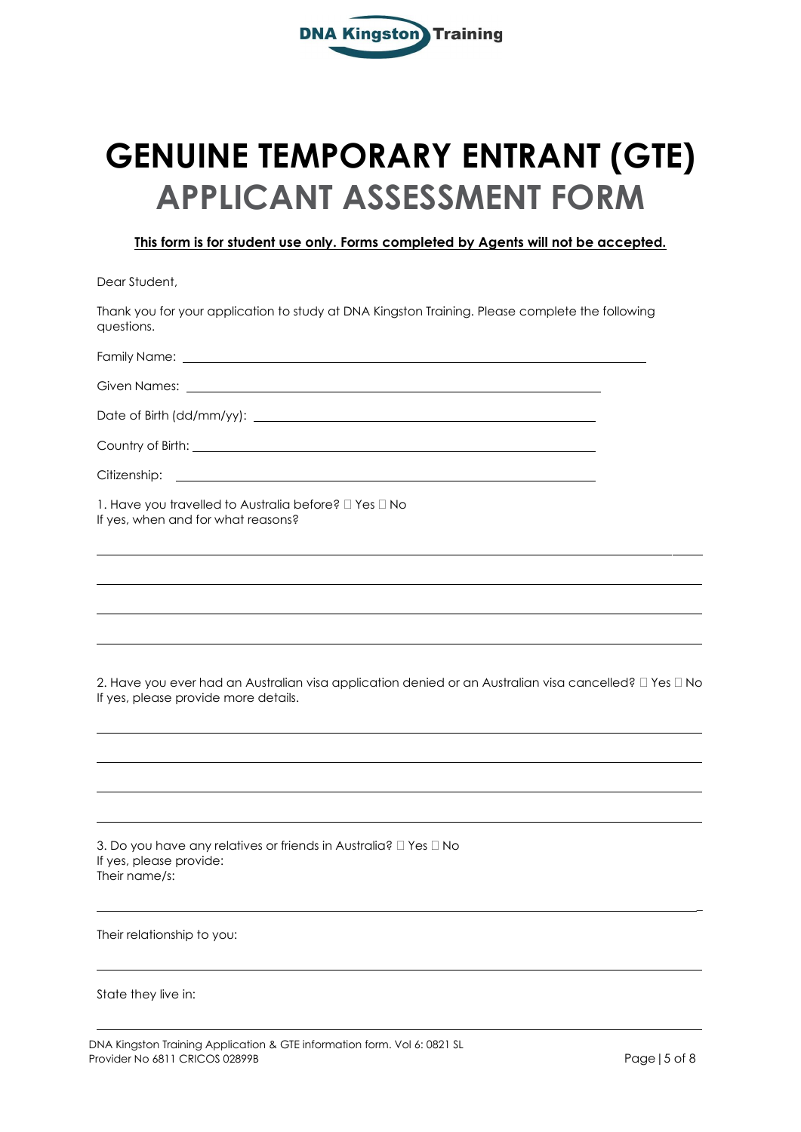

# **GENUINE TEMPORARY ENTRANT (GTE) APPLICANT ASSESSMENT FORM**

**This form is for student use only. Forms completed by Agents will not be accepted.**

Dear Student,

Thank you for your application to study at DNA Kingston Training. Please complete the following questions.

Family Name:

Given Names:

Date of Birth (dd/mm/yy):

Country of Birth:

Citizenship:

1. Have you travelled to Australia before?  $\Box$  Yes  $\Box$  No If yes, when and for what reasons?

2. Have you ever had an Australian visa application denied or an Australian visa cancelled?  $\Box$  Yes  $\Box$  No If yes, please provide more details.

3. Do you have any relatives or friends in Australia?  $\Box$  Yes  $\Box$  No If yes, please provide: Their name/s:

Their relationship to you:

State they live in:

\_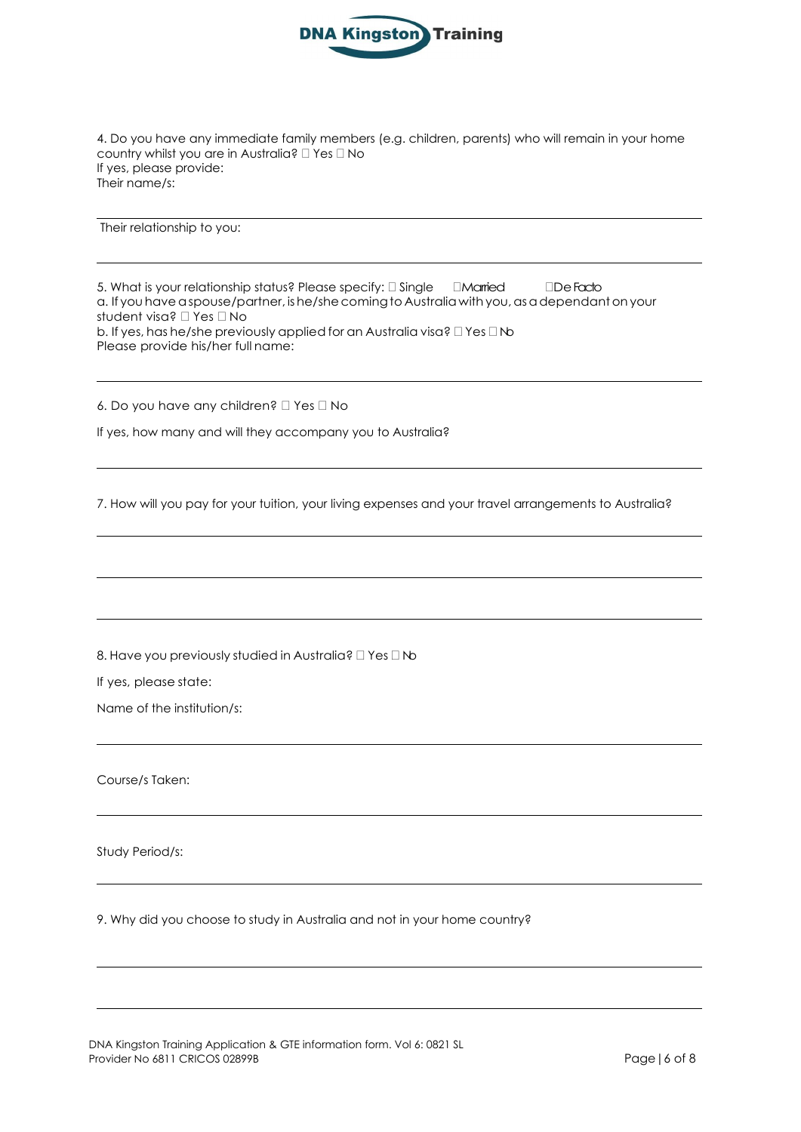

4. Do you have any immediate family members (e.g. children, parents) who will remain in your home country whilst you are in Australia?  $\square$  Yes  $\square$  No If yes, please provide: Their name/s:

Their relationship to you:

5. What is your relationship status? Please specify:  $\Box$  Single  $\Box$  Married  $\Box$  De Facto a. If you have a spouse/partner, is he/she coming to Australia with you, as a dependant on your student visa? Yes No b. If yes, has he/she previously applied for an Australia visa?  $\Box$  Yes  $\Box$  No Please provide his/her full name:

6. Do you have any children?  $\Box$  Yes  $\Box$  No

If yes, how many and will they accompany you to Australia?

7. How will you pay for your tuition, your living expenses and your travel arrangements to Australia?

8. Have you previously studied in Australia?  $\Box$  Yes  $\Box$  No

If yes, please state:

Name of the institution/s:

Course/s Taken:

Study Period/s:

9. Why did you choose to study in Australia and not in your home country?

DNA Kingston Training Application & GTE information form. Vol 6: 0821 SL Provider No 6811 CRICOS 02899B **Page | 6 of 8** Page | 6 of 8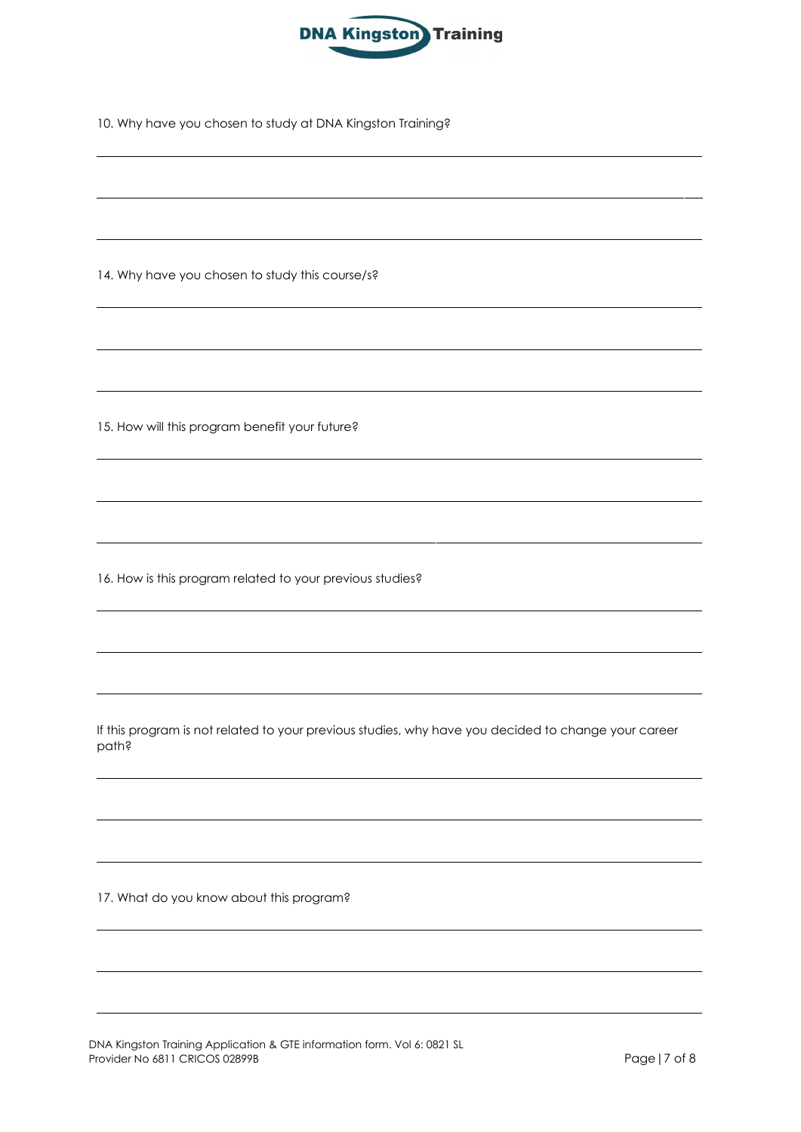

10. Why have you chosen to study at DNA Kingston Training?

14. Why have you chosen to study this course/s?

15. How will this program benefit your future?

16. How is this program related to your previous studies?

If this program is not related to your previous studies, why have you decided to change your career path?

17. What do you know about this program?

DNA Kingston Training Application & GTE information form. Vol 6: 0821 SL Provider No 6811 CRICOS 02899B Page | 7 of 8